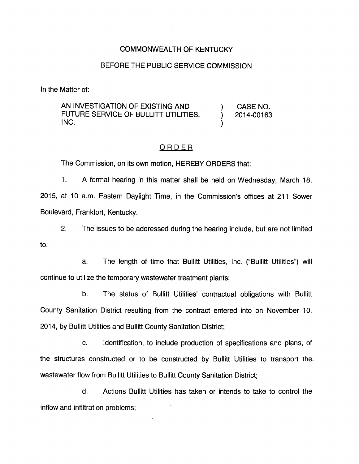## COMMONWEALTH OF KENTUCKY

## BEFORE THE PUBLIC SERVICE COMMISSION

In the Matter of:

AN INVESTIGATION OF EXISTING AND ) CASE NO. FUTURE SERVICE OF BULLITT UTILITIES,  $\qquad$  2014-00163  $\blacksquare$ 

## ORDER

The Commission, on its own motion, HEREBY ORDERS that:

1. A formal hearing in this matter shall be held on Wednesday, March 18, 2015, at 10 a.m. Eastern Daylight Time, in the Commission's offices at 211 Sower Boulevard, Frankfort, Kentucky.

2. The issues to be addressed during the hearing include, but are not limited to:

a. The length of time that Bullitt Utilities, Inc. ("Bullitt Utilities") will continue to utilize the temporary wastewater treatment plants;

b. The status of Bullitt Utilities' contractual obligations with Bullitt County Sanitation District resulting from the contract entered into on November 10, 2014, by Bullitt Utiiities and Bullitt County Sanitation District;

c. identification, to include production of specifications and plans, of the structures constructed or to be constructed by Bullitt Utilities to transport the, wastewater flow from Bullitt Utilities to Bullitt County Sanitation District;

d. Actions Bullitt Utilities has taken or intends to take to control the inflow and infiltration problems;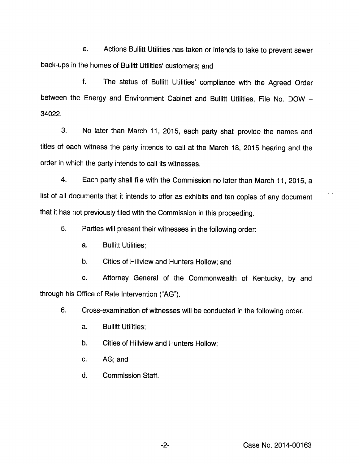e. Actions Bullitt Utliities has taken or intends to take to prevent sewer back-ups in the homes of Bullitt Utilities' customers; and

f. The status of Bullitt Utilities' compliance with the Agreed Order between the Energy and Environment Cabinet and Bullitt Utilities, File No. DOW -34022.

3. No later than March 11, 2015, each party shall provide the names and titles of each witness the party intends to call at the March 18, 2015 hearing and the order in which the party intends to call its witnesses.

4. Each party shall file with the Commission no later than March 11, 2015, a list of all documents that it intends to offer as exhibits and ten copies of any document that it has not previously filed with the Commission in this proceeding.

5. Parties will present their witnesses in the following order:

a. Bullitt Utilities;

b. Cities of Hillview and Hunters Hollow; and

c. Attorney General of the Commonwealth of Kentucky, by and through his Office of Rate Intervention ("AG").

6. Cross-examination of witnesses will be conducted in the following order:

a. Bullitt Utilities;

b. Cities of Hillview and Hunters Hollow;

c. AG; and

d. Commission Staff.

-2- Case No. 2014-00163

 $\sim$   $\cdot$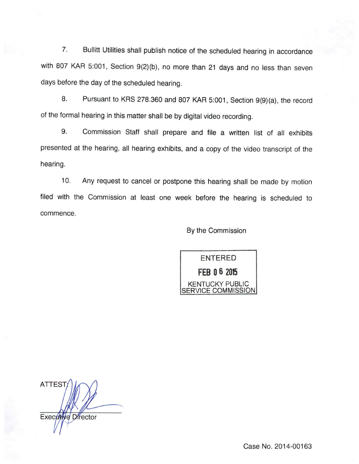7. Bullitt Utilities shall publish notice of the scheduled hearing in accordance with 807 KAR 5:001, Section 9(2)(b), no more than 21 days and no less than seven days before the day of the scheduled hearing.

a. Pursuant to KRS 278.360 and 807 KAR 5:001, Section 9(9)(a), the record of the formal hearing in this matter shall be by digital video recording.

9. Commission Staff shall prepare and file a written list of all exhibits presented at the hearing, all hearing exhibits, and a copy of the video transcript of the hearing.

10. Any request to cancel or postpone this hearing shall be made by motion filed with the Commission at least one week before the hearing is scheduled to commence.

## By the Commission



**ATTEST** Executive Director